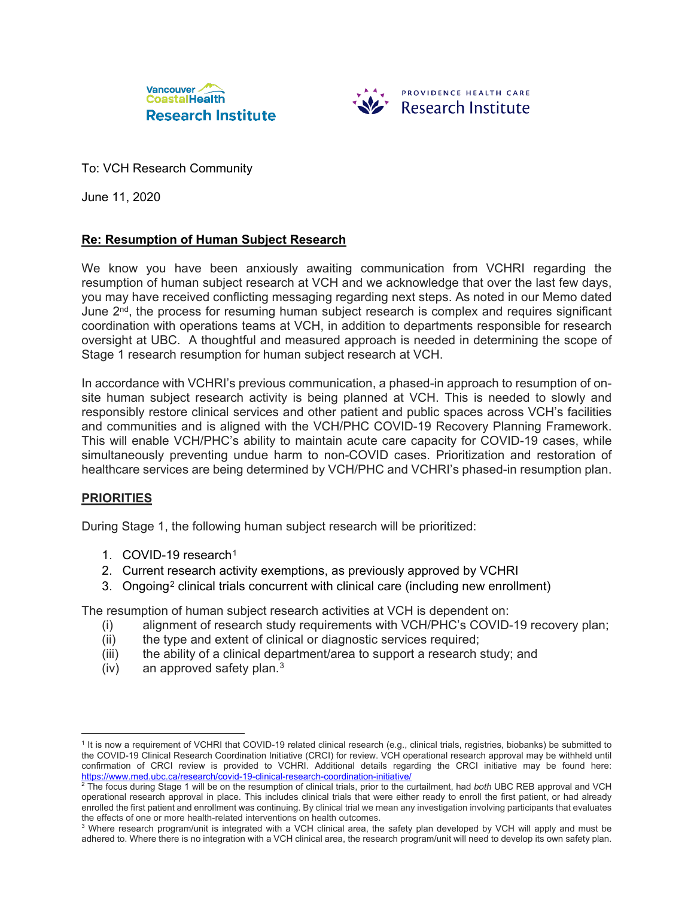



To: VCH Research Community

June 11, 2020

# **Re: Resumption of Human Subject Research**

We know you have been anxiously awaiting communication from VCHRI regarding the resumption of human subject research at VCH and we acknowledge that over the last few days, you may have received conflicting messaging regarding next steps. As noted in our Memo dated June 2<sup>nd</sup>, the process for resuming human subject research is complex and requires significant coordination with operations teams at VCH, in addition to departments responsible for research oversight at UBC. A thoughtful and measured approach is needed in determining the scope of Stage 1 research resumption for human subject research at VCH.

In accordance with VCHRI's previous communication, a phased-in approach to resumption of onsite human subject research activity is being planned at VCH. This is needed to slowly and responsibly restore clinical services and other patient and public spaces across VCH's facilities and communities and is aligned with the VCH/PHC COVID-19 Recovery Planning Framework. This will enable VCH/PHC's ability to maintain acute care capacity for COVID-19 cases, while simultaneously preventing undue harm to non-COVID cases. Prioritization and restoration of healthcare services are being determined by VCH/PHC and VCHRI's phased-in resumption plan.

## **PRIORITIES**

 $\overline{a}$ 

During Stage 1, the following human subject research will be prioritized:

- 1. COVID-19 research[1](#page-0-0)
- 2. Current research activity exemptions, as previously approved by VCHRI
- 3. Ongoing<sup>[2](#page-0-1)</sup> clinical trials concurrent with clinical care (including new enrollment)

The resumption of human subject research activities at VCH is dependent on:

- (i) alignment of research study requirements with VCH/PHC's COVID-19 recovery plan;
- (ii) the type and extent of clinical or diagnostic services required;
- (iii) the ability of a clinical department/area to support a research study; and
- (iv) an approved safety plan. $3$

<span id="page-0-0"></span><sup>1</sup> It is now a requirement of VCHRI that COVID-19 related clinical research (e.g., clinical trials, registries, biobanks) be submitted to the COVID-19 Clinical Research Coordination Initiative (CRCI) for review. VCH operational research approval may be withheld until confirmation of CRCI review is provided to VCHRI. Additional details regarding the CRCI initiative may be found here: <https://www.med.ubc.ca/research/covid-19-clinical-research-coordination-initiative/>

<span id="page-0-1"></span><sup>2</sup> The focus during Stage 1 will be on the resumption of clinical trials, prior to the curtailment, had *both* UBC REB approval and VCH operational research approval in place. This includes clinical trials that were either ready to enroll the first patient, or had already enrolled the first patient and enrollment was continuing. By clinical trial we mean any investigation involving participants that evaluates the effects of one or more health-related interventions on health outcomes.

<span id="page-0-2"></span><sup>&</sup>lt;sup>3</sup> Where research program/unit is integrated with a VCH clinical area, the safety plan developed by VCH will apply and must be adhered to. Where there is no integration with a VCH clinical area, the research program/unit will need to develop its own safety plan.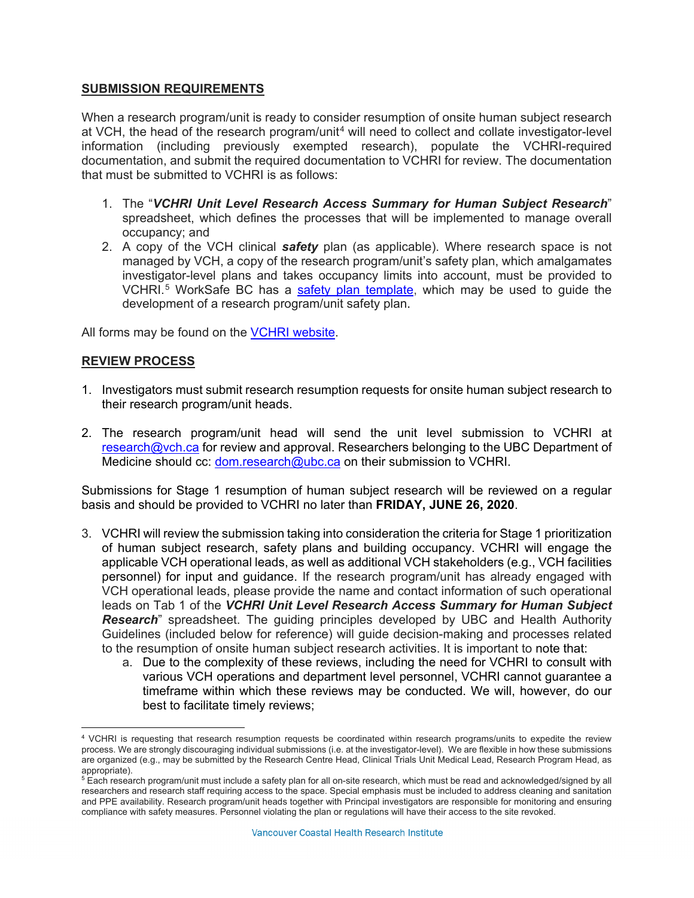## **SUBMISSION REQUIREMENTS**

When a research program/unit is ready to consider resumption of onsite human subject research at VCH, the head of the research program/unit<sup>[4](#page-1-0)</sup> will need to collect and collate investigator-level information (including previously exempted research), populate the VCHRI-required documentation, and submit the required documentation to VCHRI for review. The documentation that must be submitted to VCHRI is as follows:

- 1. The "*VCHRI Unit Level Research Access Summary for Human Subject Research*" spreadsheet, which defines the processes that will be implemented to manage overall occupancy; and
- 2. A copy of the VCH clinical *safety* plan (as applicable). Where research space is not managed by VCH, a copy of the research program/unit's safety plan, which amalgamates investigator-level plans and takes occupancy limits into account, must be provided to VCHRI.<sup>[5](#page-1-1)</sup> WorkSafe BC has a [safety plan template,](https://www.worksafebc.com/en/search#q=covid%20safety%20plan&sort=relevancy&f:language-facet=%5BEnglish%5D) which may be used to guide the development of a research program/unit safety plan.

All forms may be found on the [VCHRI website.](https://www.vchri.ca/covid-19-information-and-faqs)

## **REVIEW PROCESS**

 $\overline{a}$ 

- 1. Investigators must submit research resumption requests for onsite human subject research to their research program/unit heads.
- 2. The research program/unit head will send the unit level submission to VCHRI at [research@vch.ca](mailto:research@vch.ca) for review and approval. Researchers belonging to the UBC Department of Medicine should cc: [dom.research@ubc.ca](mailto:dom.research@ubc.ca) on their submission to VCHRI.

Submissions for Stage 1 resumption of human subject research will be reviewed on a regular basis and should be provided to VCHRI no later than **FRIDAY, JUNE 26, 2020**.

- 3. VCHRI will review the submission taking into consideration the criteria for Stage 1 prioritization of human subject research, safety plans and building occupancy. VCHRI will engage the applicable VCH operational leads, as well as additional VCH stakeholders (e.g., VCH facilities personnel) for input and guidance. If the research program/unit has already engaged with VCH operational leads, please provide the name and contact information of such operational leads on Tab 1 of the *VCHRI Unit Level Research Access Summary for Human Subject Research*" spreadsheet. The guiding principles developed by UBC and Health Authority Guidelines (included below for reference) will guide decision-making and processes related to the resumption of onsite human subject research activities. It is important to note that:
	- a. Due to the complexity of these reviews, including the need for VCHRI to consult with various VCH operations and department level personnel, VCHRI cannot guarantee a timeframe within which these reviews may be conducted. We will, however, do our best to facilitate timely reviews;

<span id="page-1-0"></span><sup>4</sup> VCHRI is requesting that research resumption requests be coordinated within research programs/units to expedite the review process. We are strongly discouraging individual submissions (i.e. at the investigator-level). We are flexible in how these submissions are organized (e.g., may be submitted by the Research Centre Head, Clinical Trials Unit Medical Lead, Research Program Head, as appropriate).

<span id="page-1-1"></span> $^5$  Each research program/unit must include a safety plan for all on-site research, which must be read and acknowledged/signed by all researchers and research staff requiring access to the space. Special emphasis must be included to address cleaning and sanitation and PPE availability. Research program/unit heads together with Principal investigators are responsible for monitoring and ensuring compliance with safety measures. Personnel violating the plan or regulations will have their access to the site revoked.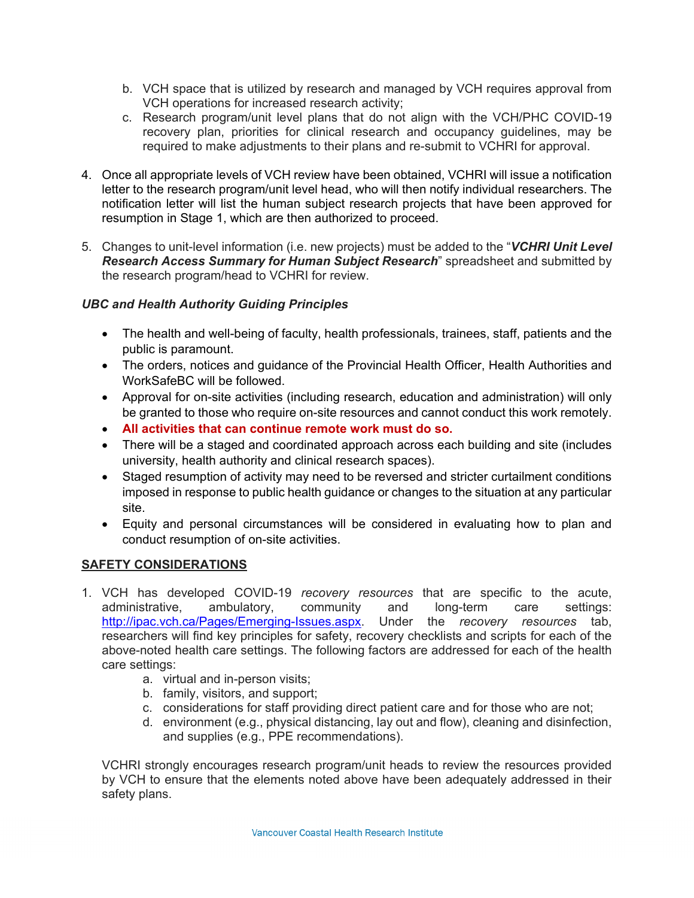- b. VCH space that is utilized by research and managed by VCH requires approval from VCH operations for increased research activity;
- c. Research program/unit level plans that do not align with the VCH/PHC COVID-19 recovery plan, priorities for clinical research and occupancy guidelines, may be required to make adjustments to their plans and re-submit to VCHRI for approval.
- 4. Once all appropriate levels of VCH review have been obtained, VCHRI will issue a notification letter to the research program/unit level head, who will then notify individual researchers. The notification letter will list the human subject research projects that have been approved for resumption in Stage 1, which are then authorized to proceed.
- 5. Changes to unit-level information (i.e. new projects) must be added to the "*VCHRI Unit Level Research Access Summary for Human Subject Research*" spreadsheet and submitted by the research program/head to VCHRI for review.

# *UBC and Health Authority Guiding Principles*

- The health and well-being of faculty, health professionals, trainees, staff, patients and the public is paramount.
- The orders, notices and guidance of the Provincial Health Officer, Health Authorities and WorkSafeBC will be followed.
- Approval for on-site activities (including research, education and administration) will only be granted to those who require on-site resources and cannot conduct this work remotely.
- **All activities that can continue remote work must do so.**
- There will be a staged and coordinated approach across each building and site (includes university, health authority and clinical research spaces).
- Staged resumption of activity may need to be reversed and stricter curtailment conditions imposed in response to public health guidance or changes to the situation at any particular site.
- Equity and personal circumstances will be considered in evaluating how to plan and conduct resumption of on-site activities.

## **SAFETY CONSIDERATIONS**

- 1. VCH has developed COVID-19 *recovery resources* that are specific to the acute, administrative, ambulatory, community and long-term care settings: [http://ipac.vch.ca/Pages/Emerging-Issues.aspx.](http://ipac.vch.ca/Pages/Emerging-Issues.aspx) Under the *recovery resources* tab, researchers will find key principles for safety, recovery checklists and scripts for each of the above-noted health care settings. The following factors are addressed for each of the health care settings:
	- a. virtual and in-person visits;
	- b. family, visitors, and support;
	- c. considerations for staff providing direct patient care and for those who are not;
	- d. environment (e.g., physical distancing, lay out and flow), cleaning and disinfection, and supplies (e.g., PPE recommendations).

VCHRI strongly encourages research program/unit heads to review the resources provided by VCH to ensure that the elements noted above have been adequately addressed in their safety plans.